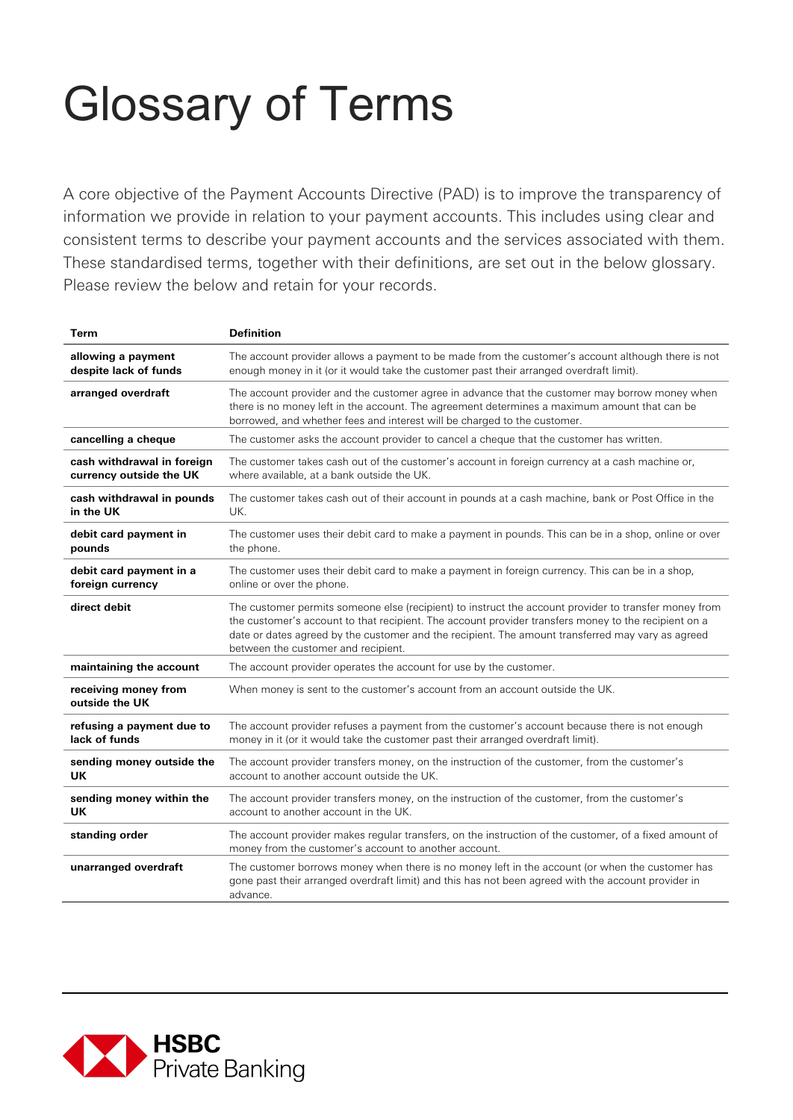## Glossary of Terms

A core objective of the Payment Accounts Directive (PAD) is to improve the transparency of information we provide in relation to your payment accounts. This includes using clear and consistent terms to describe your payment accounts and the services associated with them. These standardised terms, together with their definitions, are set out in the below glossary. Please review the below and retain for your records.

| Term                                   | <b>Definition</b>                                                                                                                                                                                                                                                                                                                                         |
|----------------------------------------|-----------------------------------------------------------------------------------------------------------------------------------------------------------------------------------------------------------------------------------------------------------------------------------------------------------------------------------------------------------|
| allowing a payment                     | The account provider allows a payment to be made from the customer's account although there is not                                                                                                                                                                                                                                                        |
| despite lack of funds                  | enough money in it (or it would take the customer past their arranged overdraft limit).                                                                                                                                                                                                                                                                   |
| arranged overdraft                     | The account provider and the customer agree in advance that the customer may borrow money when<br>there is no money left in the account. The agreement determines a maximum amount that can be<br>borrowed, and whether fees and interest will be charged to the customer.                                                                                |
| cancelling a cheque                    | The customer asks the account provider to cancel a cheque that the customer has written.                                                                                                                                                                                                                                                                  |
| cash withdrawal in foreign             | The customer takes cash out of the customer's account in foreign currency at a cash machine or,                                                                                                                                                                                                                                                           |
| currency outside the UK                | where available, at a bank outside the UK.                                                                                                                                                                                                                                                                                                                |
| cash withdrawal in pounds              | The customer takes cash out of their account in pounds at a cash machine, bank or Post Office in the                                                                                                                                                                                                                                                      |
| in the UK                              | UK.                                                                                                                                                                                                                                                                                                                                                       |
| debit card payment in                  | The customer uses their debit card to make a payment in pounds. This can be in a shop, online or over                                                                                                                                                                                                                                                     |
| pounds                                 | the phone.                                                                                                                                                                                                                                                                                                                                                |
| debit card payment in a                | The customer uses their debit card to make a payment in foreign currency. This can be in a shop,                                                                                                                                                                                                                                                          |
| foreign currency                       | online or over the phone.                                                                                                                                                                                                                                                                                                                                 |
| direct debit                           | The customer permits someone else (recipient) to instruct the account provider to transfer money from<br>the customer's account to that recipient. The account provider transfers money to the recipient on a<br>date or dates agreed by the customer and the recipient. The amount transferred may vary as agreed<br>between the customer and recipient. |
| maintaining the account                | The account provider operates the account for use by the customer.                                                                                                                                                                                                                                                                                        |
| receiving money from<br>outside the UK | When money is sent to the customer's account from an account outside the UK.                                                                                                                                                                                                                                                                              |
| refusing a payment due to              | The account provider refuses a payment from the customer's account because there is not enough                                                                                                                                                                                                                                                            |
| lack of funds                          | money in it (or it would take the customer past their arranged overdraft limit).                                                                                                                                                                                                                                                                          |
| sending money outside the              | The account provider transfers money, on the instruction of the customer, from the customer's                                                                                                                                                                                                                                                             |
| UK                                     | account to another account outside the UK.                                                                                                                                                                                                                                                                                                                |
| sending money within the               | The account provider transfers money, on the instruction of the customer, from the customer's                                                                                                                                                                                                                                                             |
| UK                                     | account to another account in the UK.                                                                                                                                                                                                                                                                                                                     |
| standing order                         | The account provider makes regular transfers, on the instruction of the customer, of a fixed amount of<br>money from the customer's account to another account.                                                                                                                                                                                           |
| unarranged overdraft                   | The customer borrows money when there is no money left in the account (or when the customer has<br>gone past their arranged overdraft limit) and this has not been agreed with the account provider in<br>advance.                                                                                                                                        |